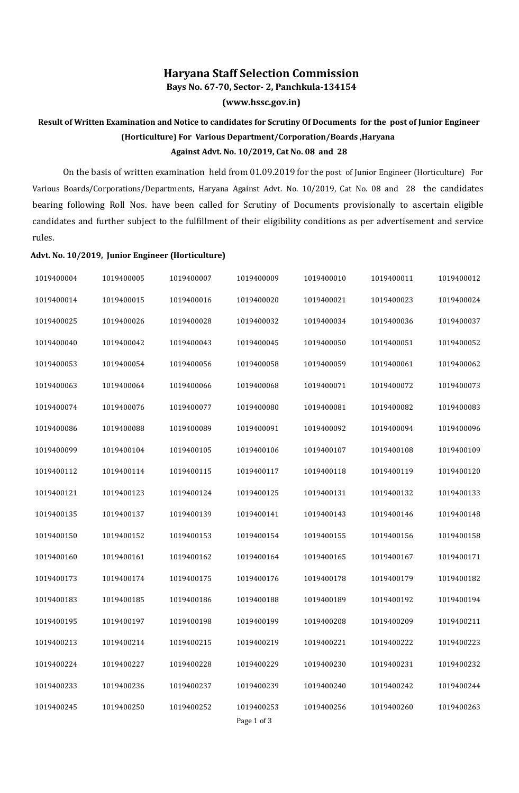## **Haryana Staff Selection Commission**

**Bays No. 67-70, Sector- 2, Panchkula-134154**

**(www.hssc.gov.in)**

## **Result of Written Examination and Notice to candidates for Scrutiny Of Documents for the post of Junior Engineer (Horticulture) For Various Department/Corporation/Boards ,Haryana Against Advt. No. 10/2019, Cat No. 08 and 28**

On the basis of written examination held from 01.09.2019 for the post of Junior Engineer (Horticulture) For Various Boards/Corporations/Departments, Haryana Against Advt. No. 10/2019, Cat No. 08 and 28 the candidates bearing following Roll Nos. have been called for Scrutiny of Documents provisionally to ascertain eligible candidates and further subject to the fulfillment of their eligibility conditions as per advertisement and service rules.

## **Advt. No. 10/2019, Junior Engineer (Horticulture)**

| 1019400004 | 1019400005 | 1019400007 | 1019400009                | 1019400010 | 1019400011 | 1019400012 |
|------------|------------|------------|---------------------------|------------|------------|------------|
| 1019400014 | 1019400015 | 1019400016 | 1019400020                | 1019400021 | 1019400023 | 1019400024 |
| 1019400025 | 1019400026 | 1019400028 | 1019400032                | 1019400034 | 1019400036 | 1019400037 |
| 1019400040 | 1019400042 | 1019400043 | 1019400045                | 1019400050 | 1019400051 | 1019400052 |
| 1019400053 | 1019400054 | 1019400056 | 1019400058                | 1019400059 | 1019400061 | 1019400062 |
| 1019400063 | 1019400064 | 1019400066 | 1019400068                | 1019400071 | 1019400072 | 1019400073 |
| 1019400074 | 1019400076 | 1019400077 | 1019400080                | 1019400081 | 1019400082 | 1019400083 |
| 1019400086 | 1019400088 | 1019400089 | 1019400091                | 1019400092 | 1019400094 | 1019400096 |
| 1019400099 | 1019400104 | 1019400105 | 1019400106                | 1019400107 | 1019400108 | 1019400109 |
| 1019400112 | 1019400114 | 1019400115 | 1019400117                | 1019400118 | 1019400119 | 1019400120 |
| 1019400121 | 1019400123 | 1019400124 | 1019400125                | 1019400131 | 1019400132 | 1019400133 |
| 1019400135 | 1019400137 | 1019400139 | 1019400141                | 1019400143 | 1019400146 | 1019400148 |
| 1019400150 | 1019400152 | 1019400153 | 1019400154                | 1019400155 | 1019400156 | 1019400158 |
| 1019400160 | 1019400161 | 1019400162 | 1019400164                | 1019400165 | 1019400167 | 1019400171 |
| 1019400173 | 1019400174 | 1019400175 | 1019400176                | 1019400178 | 1019400179 | 1019400182 |
| 1019400183 | 1019400185 | 1019400186 | 1019400188                | 1019400189 | 1019400192 | 1019400194 |
| 1019400195 | 1019400197 | 1019400198 | 1019400199                | 1019400208 | 1019400209 | 1019400211 |
| 1019400213 | 1019400214 | 1019400215 | 1019400219                | 1019400221 | 1019400222 | 1019400223 |
| 1019400224 | 1019400227 | 1019400228 | 1019400229                | 1019400230 | 1019400231 | 1019400232 |
| 1019400233 | 1019400236 | 1019400237 | 1019400239                | 1019400240 | 1019400242 | 1019400244 |
| 1019400245 | 1019400250 | 1019400252 | 1019400253<br>Page 1 of 3 | 1019400256 | 1019400260 | 1019400263 |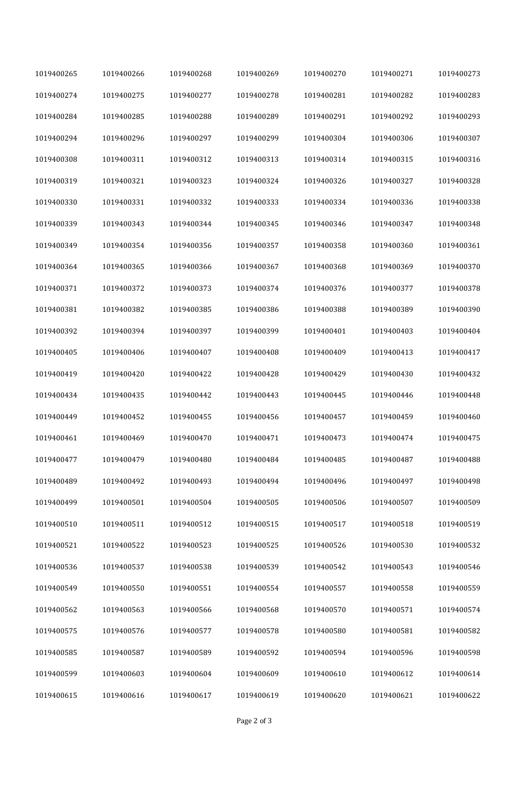| 1019400265 | 1019400266 | 1019400268 | 1019400269 | 1019400270 | 1019400271 | 1019400273 |
|------------|------------|------------|------------|------------|------------|------------|
| 1019400274 | 1019400275 | 1019400277 | 1019400278 | 1019400281 | 1019400282 | 1019400283 |
| 1019400284 | 1019400285 | 1019400288 | 1019400289 | 1019400291 | 1019400292 | 1019400293 |
| 1019400294 | 1019400296 | 1019400297 | 1019400299 | 1019400304 | 1019400306 | 1019400307 |
| 1019400308 | 1019400311 | 1019400312 | 1019400313 | 1019400314 | 1019400315 | 1019400316 |
| 1019400319 | 1019400321 | 1019400323 | 1019400324 | 1019400326 | 1019400327 | 1019400328 |
| 1019400330 | 1019400331 | 1019400332 | 1019400333 | 1019400334 | 1019400336 | 1019400338 |
| 1019400339 | 1019400343 | 1019400344 | 1019400345 | 1019400346 | 1019400347 | 1019400348 |
| 1019400349 | 1019400354 | 1019400356 | 1019400357 | 1019400358 | 1019400360 | 1019400361 |
| 1019400364 | 1019400365 | 1019400366 | 1019400367 | 1019400368 | 1019400369 | 1019400370 |
| 1019400371 | 1019400372 | 1019400373 | 1019400374 | 1019400376 | 1019400377 | 1019400378 |
| 1019400381 | 1019400382 | 1019400385 | 1019400386 | 1019400388 | 1019400389 | 1019400390 |
| 1019400392 | 1019400394 | 1019400397 | 1019400399 | 1019400401 | 1019400403 | 1019400404 |
| 1019400405 | 1019400406 | 1019400407 | 1019400408 | 1019400409 | 1019400413 | 1019400417 |
| 1019400419 | 1019400420 | 1019400422 | 1019400428 | 1019400429 | 1019400430 | 1019400432 |
| 1019400434 | 1019400435 | 1019400442 | 1019400443 | 1019400445 | 1019400446 | 1019400448 |
| 1019400449 | 1019400452 | 1019400455 | 1019400456 | 1019400457 | 1019400459 | 1019400460 |
| 1019400461 | 1019400469 | 1019400470 | 1019400471 | 1019400473 | 1019400474 | 1019400475 |
| 1019400477 | 1019400479 | 1019400480 | 1019400484 | 1019400485 | 1019400487 | 1019400488 |
| 1019400489 | 1019400492 | 1019400493 | 1019400494 | 1019400496 | 1019400497 | 1019400498 |
| 1019400499 | 1019400501 | 1019400504 | 1019400505 | 1019400506 | 1019400507 | 1019400509 |
| 1019400510 | 1019400511 | 1019400512 | 1019400515 | 1019400517 | 1019400518 | 1019400519 |
| 1019400521 | 1019400522 | 1019400523 | 1019400525 | 1019400526 | 1019400530 | 1019400532 |
| 1019400536 | 1019400537 | 1019400538 | 1019400539 | 1019400542 | 1019400543 | 1019400546 |
| 1019400549 | 1019400550 | 1019400551 | 1019400554 | 1019400557 | 1019400558 | 1019400559 |
| 1019400562 | 1019400563 | 1019400566 | 1019400568 | 1019400570 | 1019400571 | 1019400574 |
| 1019400575 | 1019400576 | 1019400577 | 1019400578 | 1019400580 | 1019400581 | 1019400582 |
| 1019400585 | 1019400587 | 1019400589 | 1019400592 | 1019400594 | 1019400596 | 1019400598 |
| 1019400599 | 1019400603 | 1019400604 | 1019400609 | 1019400610 | 1019400612 | 1019400614 |
| 1019400615 | 1019400616 | 1019400617 | 1019400619 | 1019400620 | 1019400621 | 1019400622 |